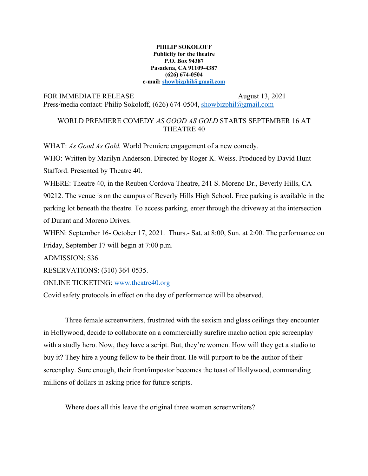## **PHILIP SOKOLOFF Publicity for the theatre P.O. Box 94387 Pasadena, CA 91109-4387 (626) 674-0504 e-mail: showbizphil@gmail.com**

## FOR IMMEDIATE RELEASE August 13, 2021

Press/media contact: Philip Sokoloff, (626) 674-0504, showbizphil@gmail.com

## WORLD PREMIERE COMEDY *AS GOOD AS GOLD* STARTS SEPTEMBER 16 AT THEATRE 40

WHAT: *As Good As Gold.* World Premiere engagement of a new comedy.

WHO: Written by Marilyn Anderson. Directed by Roger K. Weiss. Produced by David Hunt Stafford. Presented by Theatre 40.

WHERE: Theatre 40, in the Reuben Cordova Theatre, 241 S. Moreno Dr., Beverly Hills, CA 90212. The venue is on the campus of Beverly Hills High School. Free parking is available in the parking lot beneath the theatre. To access parking, enter through the driveway at the intersection of Durant and Moreno Drives.

WHEN: September 16- October 17, 2021. Thurs.- Sat. at 8:00, Sun. at 2:00. The performance on Friday, September 17 will begin at 7:00 p.m.

ADMISSION: \$36.

RESERVATIONS: (310) 364-0535.

ONLINE TICKETING: www.theatre40.org

Covid safety protocols in effect on the day of performance will be observed.

Three female screenwriters, frustrated with the sexism and glass ceilings they encounter in Hollywood, decide to collaborate on a commercially surefire macho action epic screenplay with a studly hero. Now, they have a script. But, they're women. How will they get a studio to buy it? They hire a young fellow to be their front. He will purport to be the author of their screenplay. Sure enough, their front/impostor becomes the toast of Hollywood, commanding millions of dollars in asking price for future scripts.

Where does all this leave the original three women screenwriters?